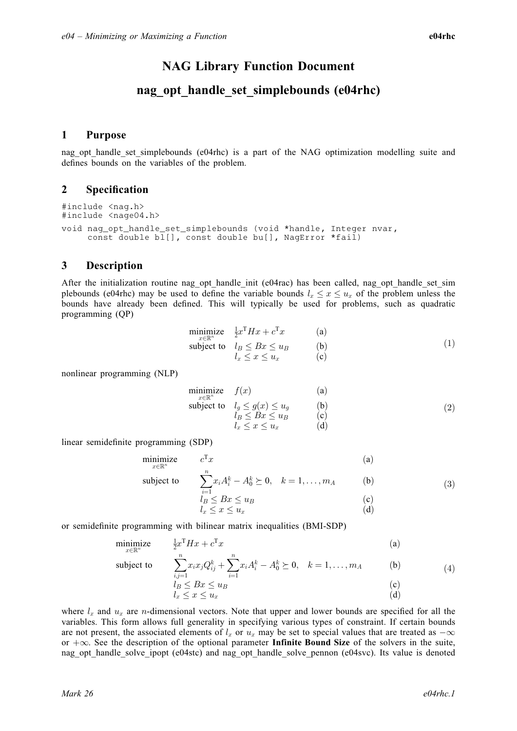# NAG Library Function Document

# nag\_opt\_handle\_set\_simplebounds (e04rhc)

## 1 Purpose

nag opt handle set simplebounds (e04rhc) is a part of the NAG optimization modelling suite and defines bounds on the variables of the problem.

## 2 Specification

```
#include <nag.h>
#include <nage04.h>
void nag_opt_handle_set_simplebounds (void *handle, Integer nvar,
     const double bl[], const double bu[], NagError *fail)
```
## 3 Description

After the initialization routine nag\_opt\_handle\_init (e04rac) has been called, nag\_opt\_handle\_set\_sim plebounds (e04rhc) may be used to define the variable bounds  $l_x \le x \le u_x$  of the problem unless the bounds have already been defined. This will typically be used for problems, such as quadratic programming (QP)

$$
\begin{array}{ll}\n\text{minimize} & \frac{1}{2}x^{\mathrm{T}}H x + c^{\mathrm{T}} x & \text{(a)}\\ \n\text{subject to} & l_B \leq Bx \leq u_B & \text{(b)}\\ \n& l_x \leq x \leq u_x & \text{(c)}\n\end{array} \tag{1}
$$

nonlinear programming (NLP)

$$
\begin{array}{ll}\n\text{minimize} & f(x) & \text{(a)} \\
\text{subject to} & l_g \leq g(x) \leq u_g & \text{(b)} \\
& l_B \leq Bx \leq u_B & \text{(c)} \\
& l_x \leq x \leq u_x & \text{(d)}\n\end{array} \tag{2}
$$

linear semidefinite programming (SDP)

$$
\begin{array}{ll}\n\text{minimize} & c^{\text{T}} x & \text{(a)} \\
\text{subject to} & \sum_{k=1}^{n} x_i A_i^k - A_0^k \ge 0, \quad k = 1, \dots, m_A \\
\text{(b)} & \text{(3)}\n\end{array}
$$

$$
\sum_{i=1}^{n} x_i A_i^k - A_0^k \succeq 0, \quad k = 1, \dots, m_A \quad \text{(b)}
$$
\n
$$
l_B \leq Bx \leq u_B \quad \text{(c)}
$$
\n
$$
l_x \leq x \leq u_x \quad \text{(d)}
$$

or semidefinite programming with bilinear matrix inequalities (BMI-SDP)

$$
\underset{x \in \mathbb{R}^n}{\text{minimize}} \qquad \frac{1}{2} x^{\mathsf{T}} H x + c^{\mathsf{T}} x \tag{a}
$$

subject to  $\sum_{n=1}^n$ 

$$
\sum_{\substack{i,j=1 \ l_B \le Bx \le u_B}} x_i x_j Q_{ij}^k + \sum_{i=1} x_i A_i^k - A_0^k \succeq 0, \quad k = 1, \dots, m_A
$$
 (b)  
\n
$$
\sum_{\substack{l_B \le Bx \le u_B}} (c)
$$
 (c)  
\n
$$
\sum_{\substack{l_x \le x \le u_x}} (x_i - A_0^k) \succeq 0, \quad k = 1, \dots, m_A
$$

where  $l_x$  and  $u_x$  are *n*-dimensional vectors. Note that upper and lower bounds are specified for all the variables. This form allows full generality in specifying various types of constraint. If certain bounds are not present, the associated elements of  $l_x$  or  $u_x$  may be set to special values that are treated as  $-\infty$ or  $+\infty$ . See the description of the optional parameter **Infinite Bound Size** of the solvers in the suite, nag\_opt\_handle\_solve\_ipopt (e04stc) and nag\_opt\_handle\_solve\_pennon (e04svc). Its value is denoted

 $(4)$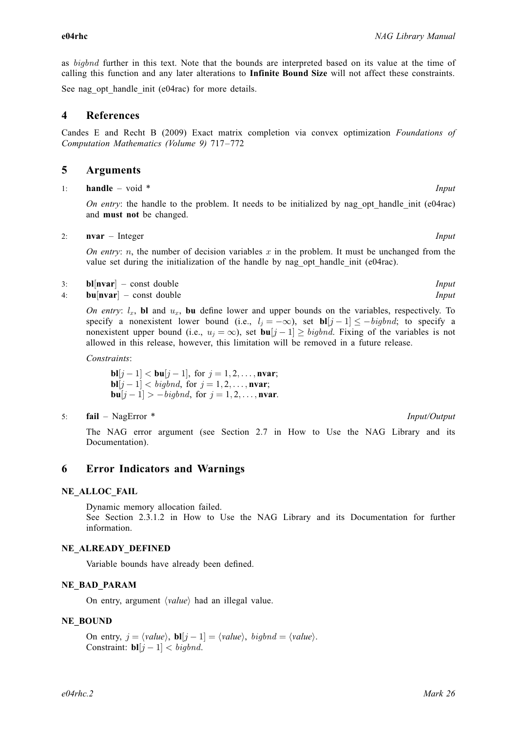<span id="page-1-0"></span>as bigbnd further in this text. Note that the bounds are interpreted based on its value at the time of calling this function and any later alterations to Infinite Bound Size will not affect these constraints.

See nag opt handle init (e04rac) for more details.

#### 4 References

Candes E and Recht B (2009) Exact matrix completion via convex optimization Foundations of Computation Mathematics (Volume 9) 717–772

### 5 Arguments

1: **handle** – void \* Input

On entry: the handle to the problem. It needs to be initialized by nag opt handle init (e04rac) and must not be changed.

2: **nvar** – Integer **Input is a set of the set of the Input** is a set of the Input is a set of the Input is a set of the Input is a set of the Input is a set of the Input is a set of the Input is a set of the Input is a se

On entry: n, the number of decision variables x in the problem. It must be unchanged from the value set during the initialization of the handle by nag\_opt\_handle\_init (e04rac).

- 
- 3:  $bl[nvar] const double$ <br>4:  $bul[nvar] const double$  $\textbf{b}$ u[nvar] – const double

On entry:  $l_x$ , bl and  $u_x$ , bu define lower and upper bounds on the variables, respectively. To specify a nonexistent lower bound (i.e.,  $l_j = -\infty$ ), set  $\mathbf{bl}[j-1] \le -\text{bigbnd}$ ; to specify a nonexistent upper bound (i.e.,  $u_j = \infty$ ), set  $\mathbf{bu}[j-1] \geq bigbnd$ . Fixing of the variables is not allowed in this release, however, this limitation will be removed in a future release.

Constraints:

 $$  $$  $|{\bf b} {\bf u}[j - 1] > -{\it bigbnd}$ , for  $j = 1, 2, \ldots, {\bf nvar}$ .

5: fail – NagError \* Input/Output

The NAG error argument (see Section 2.7 in How to Use the NAG Library and its Documentation).

### 6 Error Indicators and Warnings

#### NE\_ALLOC\_FAIL

Dynamic memory allocation failed. See Section 2.3.1.2 in How to Use the NAG Library and its Documentation for further information.

#### NE\_ALREADY\_DEFINED

Variable bounds have already been defined.

#### NE\_BAD\_PARAM

On entry, argument  $\langle value \rangle$  had an illegal value.

#### NE\_BOUND

On entry,  $j = \langle value \rangle$ ,  $bl[j - 1] = \langle value \rangle$ ,  $bigb{b}nd = \langle value \rangle$ . Constraint:  $\mathbf{bl}[j-1] < bigbnd$ .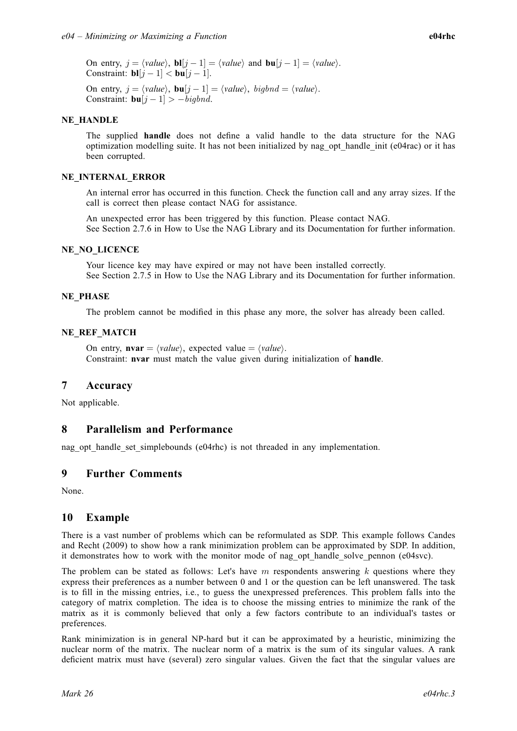<span id="page-2-0"></span>On entry,  $j = \langle value \rangle$ ,  $bl[j - 1] = \langle value \rangle$  $bl[j - 1] = \langle value \rangle$  and  $bu[j - 1] = \langle value \rangle$  $bu[j - 1] = \langle value \rangle$ . Constraint:  $\mathbf{bl}[i-1] < \mathbf{bul}[i-1]$  $\mathbf{bl}[i-1] < \mathbf{bul}[i-1]$  $\mathbf{bl}[i-1] < \mathbf{bul}[i-1]$  $\mathbf{bl}[i-1] < \mathbf{bul}[i-1]$  $\mathbf{bl}[i-1] < \mathbf{bul}[i-1]$ .

On entry,  $j = \langle value \rangle$ ,  $\mathbf{bu}[j-1] = \langle value \rangle$  $\mathbf{bu}[j-1] = \langle value \rangle$  $\mathbf{bu}[j-1] = \langle value \rangle$ ,  $bighnd = \langle value \rangle$ . Constraint:  $\mathbf{bu}[j-1] > -bigb$  $\mathbf{bu}[j-1] > -bigb$  $\mathbf{bu}[j-1] > -bigb$ 

#### NE\_HANDLE

The supplied [handle](#page-1-0) does not define a valid handle to the data structure for the NAG optimization modelling suite. It has not been initialized by nag\_opt\_handle\_init (e04rac) or it has been corrupted.

#### NE\_INTERNAL\_ERROR

An internal error has occurred in this function. Check the function call and any array sizes. If the call is correct then please contact NAG for assistance.

An unexpected error has been triggered by this function. Please contact NAG. See Section 2.7.6 in How to Use the NAG Library and its Documentation for further information.

#### NE\_NO\_LICENCE

Your licence key may have expired or may not have been installed correctly. See Section 2.7.5 in How to Use the NAG Library and its Documentation for further information.

#### NE\_PHASE

The problem cannot be modified in this phase any more, the solver has already been called.

#### NE\_REF\_MATCH

On entry,  $\mathbf{nvar} = \langle value \rangle$  $\mathbf{nvar} = \langle value \rangle$  $\mathbf{nvar} = \langle value \rangle$ , expected value  $= \langle value \rangle$ . Constraint: [nvar](#page-1-0) must match the value given during initialization of [handle](#page-1-0).

### 7 Accuracy

Not applicable.

### 8 Parallelism and Performance

nag\_opt\_handle\_set\_simplebounds (e04rhc) is not threaded in any implementation.

### 9 Further Comments

None.

### 10 Example

There is a vast number of problems which can be reformulated as SDP. This example follows [Candes](#page-1-0) [and Recht \(2009\)](#page-1-0) to show how a rank minimization problem can be approximated by SDP. In addition, it demonstrates how to work with the monitor mode of nag\_opt\_handle\_solve\_pennon (e04svc).

The problem can be stated as follows: Let's have  $m$  respondents answering  $k$  questions where they express their preferences as a number between 0 and 1 or the question can be left unanswered. The task is to fill in the missing entries, i.e., to guess the unexpressed preferences. This problem falls into the category of matrix completion. The idea is to choose the missing entries to minimize the rank of the matrix as it is commonly believed that only a few factors contribute to an individual's tastes or preferences.

Rank minimization is in general NP-hard but it can be approximated by a heuristic, minimizing the nuclear norm of the matrix. The nuclear norm of a matrix is the sum of its singular values. A rank deficient matrix must have (several) zero singular values. Given the fact that the singular values are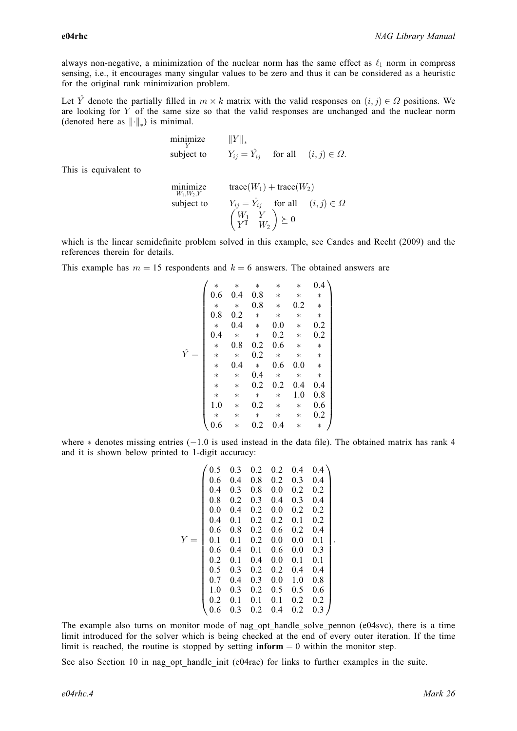always non-negative, a minimization of the nuclear norm has the same effect as  $\ell_1$  norm in compress sensing, i.e., it encourages many singular values to be zero and thus it can be considered as a heuristic for the original rank minimization problem.

Let  $\hat{Y}$  denote the partially filled in  $m \times k$  matrix with the valid responses on  $(i, j) \in \Omega$  positions. We are looking for Y of the same size so that the valid responses are unchanged and the nuclear norm are looking for  $Y$  of the same size so that the valid responses are unchanged and the nuclear norm (denoted here as  $\|\cdot\|_*$ ) is minimal.

> minimize  $\|Y\|_*$ <br>which  $Y$ subject to  $Y_{ij} = \hat{Y}_{ij}$  for all  $(i, j) \in \Omega$ .

This is equivalent to

minimize  $W_1, W_2, Y$ <br>subject to  $trace(W_1) + trace(W_2)$ subject to  $Y_{ij} = \hat{Y}_{ij}$  for all  $(i, j) \in \Omega$  $\begin{array}{cc} W_1 & Y \\ Y^T & W_2 \end{array}$  $\begin{pmatrix} W_1 & Y \\ Y^T & W_2 \end{pmatrix} \succeq 0$ 

which is the linear semidefinite problem solved in this example, see [Candes and Recht \(2009\)](#page-1-0) and the references therein for details.

This example has  $m = 15$  respondents and  $k = 6$  answers. The obtained answers are

$$
\hat{Y} = \begin{pmatrix}\n * & * & * & * & * & 0.4 \\
 0.6 & 0.4 & 0.8 & * & * & * \\
 * & * & 0.8 & * & 0.2 & * \\
 0.8 & 0.2 & * & * & * & * \\
 * & 0.4 & * & 0.0 & * & 0.2 \\
 * & 0.8 & 0.2 & 0.6 & * & * \\
 * & * & 0.2 & * & * & * \\
 * & * & 0.4 & * & 0.6 & 0.0 & * \\
 * & * & * & 0.4 & * & * & * \\
 * & * & 0.2 & 0.2 & 0.4 & 0.4 \\
 * & * & * & * & * & 1.0 & 0.8 \\
 * & * & * & * & * & * & 0.6 \\
 * & * & * & * & * & * & 0.2 \\
 * & * & * & * & * & * & 0.2 \\
 * & * & * & * & * & * & 0.2\n\end{pmatrix}
$$

where  $*$  denotes missing entries ( $-1.0$  is used instead in the data file). The obtained matrix has rank 4 and it is shown below printed to 1-digit accuracy:

$$
Y = \begin{pmatrix} 0.5 & 0.3 & 0.2 & 0.2 & 0.4 & 0.4 \\ 0.6 & 0.4 & 0.8 & 0.2 & 0.3 & 0.4 \\ 0.4 & 0.3 & 0.8 & 0.0 & 0.2 & 0.2 \\ 0.8 & 0.2 & 0.3 & 0.4 & 0.3 & 0.4 \\ 0.0 & 0.4 & 0.2 & 0.0 & 0.2 & 0.2 \\ 0.4 & 0.1 & 0.2 & 0.2 & 0.1 & 0.2 \\ 0.6 & 0.8 & 0.2 & 0.6 & 0.2 & 0.4 \\ 0.1 & 0.1 & 0.2 & 0.0 & 0.0 & 0.1 \\ 0.6 & 0.4 & 0.1 & 0.6 & 0.0 & 0.3 \\ 0.2 & 0.1 & 0.4 & 0.0 & 0.1 & 0.1 \\ 0.5 & 0.3 & 0.2 & 0.2 & 0.4 & 0.4 \\ 0.2 & 0.1 & 0.1 & 0.1 & 0.2 & 0.2 \\ 0.6 & 0.3 & 0.2 & 0.4 & 0.2 & 0.3 \end{pmatrix}
$$

The example also turns on monitor mode of nag opt handle solve pennon (e04svc), there is a time limit introduced for the solver which is being checked at the end of every outer iteration. If the time limit is reached, the routine is stopped by setting  $\text{inform} = 0$  within the monitor step.

See also [Section 10](#page-2-0) in nag opt handle init (e04rac) for links to further examples in the suite.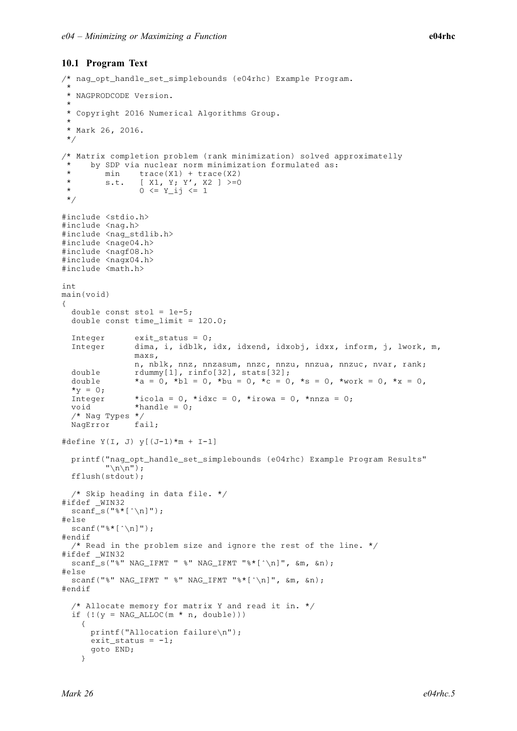#### 10.1 Program Text

```
/* nag_opt_handle_set_simplebounds (e04rhc) Example Program.
 *
 * NAGPRODCODE Version.
 *
 * Copyright 2016 Numerical Algorithms Group.
 *
 * Mark 26, 2016.
 */
/* Matrix completion problem (rank minimization) solved approximatelly
      by SDP via nuclear norm minimization formulated as:
 * min trace(X1) + trace(X2)<br>* 5 + 1 51 + 52 52 + 72 53 + 52* s.t. [ X1, Y; Y', X2 ] >=0
 * 0 <= Y_ij <= 1
 */
#include <stdio.h>
#include <nag.h>
#include <nag_stdlib.h>
#include <nage04.h>
#include <nagf08.h>
#include <nagx04.h>
#include <math.h>
int
main(void)
{
  double const sto1 = 1e-5;
  double const time_limit = 120.0;
  Integer exit_status = 0;
  Integer dima, i, idblk, idx, idxend, idxobj, idxx, inform, j, lwork, m,
                 maxs,
                n, nblk, nnz, nnzasum, nnzc, nnzu, nnzua, nnzuc, nvar, rank;
  double rdummy[1], rinfo[32], stats[32];
  double a = \bar{0}, b = 0, b = 0, c = 0, c = 0, b = 0, b = 0, b = 0, c = 0, c = 0, b = 0, c = 0, b = 0, c = 0, b = 0, c = 0, c = 0, c = 0, c = 0, c = 0, c = 0, c = 0, c = 0, c = 0, c = 0, c = 0, c =*_{V} = 0;Integer *icola = 0, *idxc = 0, *irowa = 0, *nnza = 0;
  void *handle = 0;
  /* Nag Types */<br>NagError fail:
  NagError
#define Y(I, J) y[(J-1)*m + I-1]
  printf("nag_opt_handle_set_simplebounds (e04rhc) Example Program Results"
          "\n\n\langle n \rangle n";
  fflush(stdout);
  /* Skip heading in data file. */
#ifdef _WIN32
  scanf_s("%*[^\n]");
#else
  scanf("%*[\hat{\ } \ranglen]");
#endif
  /* Read in the problem size and ignore the rest of the line. */#ifdef _WIN32
  scanf_s("%" NAG_IFMT " %" NAG_IFMT "%*[^\n]", \deltam, \deltan);
#else
  scanf("%" NAG_IFMT " %" NAG_IFMT "%*[^\n]", \deltam, \deltan);
#endif
  /* Allocate memory for matrix Y and read it in. */
  if (! (y = NAGALLOC(m * n, double))){
      printf("Allocation failure\n");
      ext_{\text{status}} = -1;goto END;
    }
```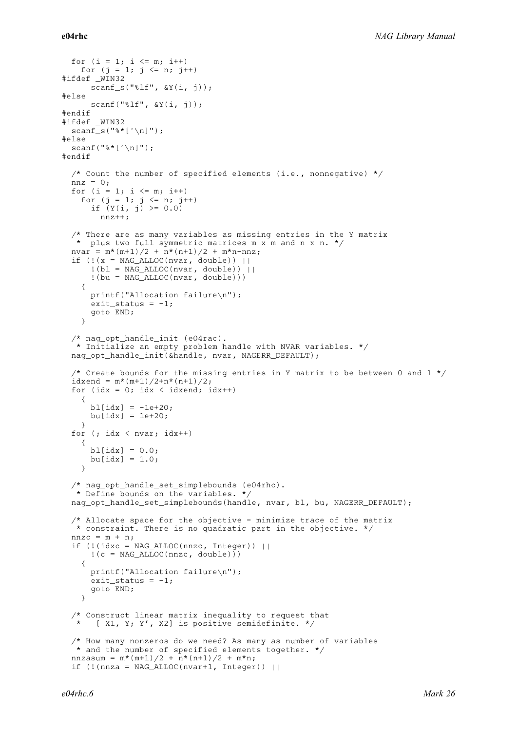```
for (i = 1; i \le m; i++)for (j = 1; j \le n; j++)#ifdef _WIN32
     scan f_s("lf", \delta Y(i, j));
4e1ee
     scan f("||f", \&Y(i, j));#endif
#ifdef _WIN32
 scanf_s("%*[^\n]");
#else
 scanf("%*[\hat{\ } \ranglen]");
#endif
  /* Count the number of specified elements (i.e., nonnegative) */
 nnz = 0:
 for (i = 1; i \le m; i++)for (j = 1; j <= n; j++)
      if (Y(i, j) \ge 0.0)nnz++;
  /* There are as many variables as missing entries in the Y matrix
  * plus two full symmetric matrices m x m and n x n. */
 nvar = m*(m+1)/2 + n*(n+1)/2 + m*n-nnz;if (!(x = NAG_ALLOC(nvar, double)) ||!(b1 = NAG\_ALLOC(nvar, double)) ||
      !(bu = NAG_ALLOC(nvar, double)))
    {
     printf("Allocation failure\n");
      exit_status = -1;
     goto END;
    }
 /* nag_opt_handle_init (e04rac).
  * Initialize an empty problem handle with NVAR variables. */
 nag_opt_handle_init(&handle, nvar, NAGERR_DEFAULT);
  /* Create bounds for the missing entries in Y matrix to be between 0 and 1 \star/idxend = m*(m+1)/2+n*(n+1)/2;
 for (idx = 0; idx < idxend; idx++)
    {
     b1[idx] = -1e+20:
     bu[idx] = 1e+20;}
 for (j idx \langle nvar; idx++)
    {
     b1[idx] = 0.0;bu[idx] = 1.0;}
  /* nag_opt_handle_set_simplebounds (e04rhc).
   * Define bounds on the variables. */
 nag_opt_handle_set_simplebounds(handle, nvar, bl, bu, NAGERR_DEFAULT);
 /* Allocate space for the objective - minimize trace of the matrix
   * constraint. There is no quadratic part in the objective. */
 nnzc = m + n;if (l(idxc = NAG ALLOC(nnzc, Integer)) ||
     !(c = NAG_ALLOC(nnzc, double)){
     printf("Allocation failure\n");
     exit_status = -1;goto END;
    }
  /* Construct linear matrix inequality to request that
      [ X1, Y; Y', X2] is positive semidefinite. */
  /* How many nonzeros do we need? As many as number of variables
  * and the number of specified elements together. */
 nnzasum = m*(m+1)/2 + n*(n+1)/2 + m*n;if (! (nnza = NAG ALLOC(nvar+1, Integer)) ||
```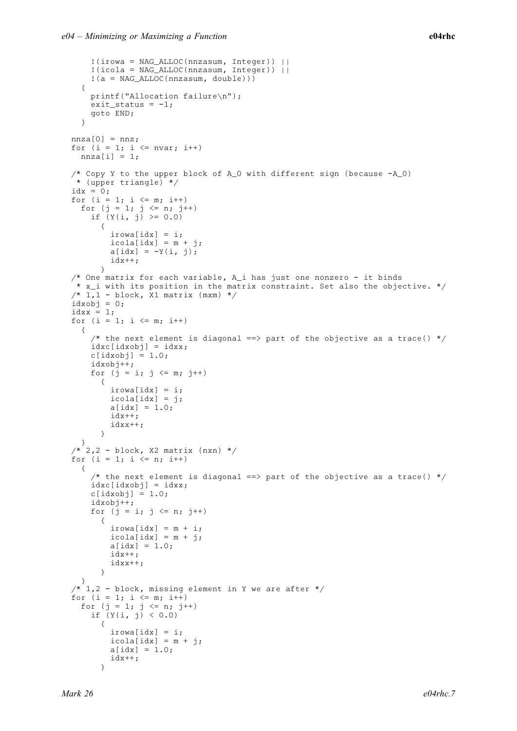```
!(irowa = NAG_ALLOC(nnzasum, Integer)) ||
    !(icola = NAG_ALLOC(nnzasum, Integer)) ||
    !(a = NAG_ALLOC(nnzasum, double)))
  {
   printf("Allocation failure\n");
   exit_status = -1;
    goto END;
  }
nnza[0] = nnz;
for (i = 1; i \le mvar; i++)nnza[i] = 1;/* Copy Y to the upper block of A_0 with different sign (because -A_0)
* (upper triangle) */
idx = 0;for (i = 1; i \leq m; i++)
  for (j = 1; j <= n; j++)
    if (Y(i, j) \ge 0.0){
        irowa[idx] = i;
        icola[idx] = m + j;a[idx] = -Y(i, j);idx++;
      }
/* One matrix for each variable, A i has just one nonzero - it binds
* x_i with its position in the matrix constraint. Set also the objective. */
/* 1,1 - block, x1 matrix (mxm) */
idxobj = 0;idxx = 1;for (i = 1; i \le m; i++){
    /* the next element is diagonal ==> part of the objective as a trace() */idxc[idxobj] = idxx;c[idxobj] = 1.0;idxobj++;
   for (j = i; j \le m; j++){
        irowa[idx] = i;
        icola[idx] = j;a[idx] = 1.0;
        idx++;
        idxx++;
      }
  }
\frac{x^*}{2}, 2 - block, X2 matrix (nxn) */
for (i = 1; i \le n; i++){
    /* the next element is diagonal ==> part of the objective as a trace() */idxc[idxobj] = idxx;c[idxobj] = 1.0;idxobj++;
    for (j = i; j \le n; j++){
        irowa[idx] = m + i;
        icola[idx] = m + j;a[idx] = 1.0;idx++;
        idxx++;
      }
  }
/* 1,2 - block, missing element in Y we are after *for (i = 1; i \le m; i++)for (j = 1; j \le n; j++)if (Y(i, j) < 0.0){
        irowa[idx] = i;icola[idx] = m + j;a[idx] = 1.0;idx++;
      }
```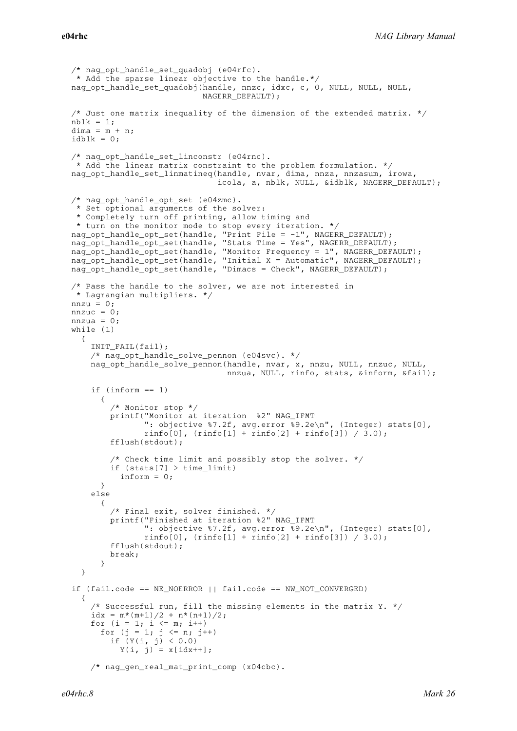```
/* nag_opt_handle_set_quadobj (e04rfc).
 * Add the sparse linear objective to the handle.*/
nag_opt_handle_set_quadobj(handle, nnzc, idxc, c, 0, NULL, NULL, NULL,
                            NAGERR_DEFAULT);
/* Just one matrix inequality of the dimension of the extended matrix. */nblk = 1;dim a = m + n;idblk = 0;/* nag_opt_handle_set_linconstr (e04rnc).
* Add the linear matrix constraint to the problem formulation. */
nag_opt_handle_set_linmatineq(handle, nvar, dima, nnza, nnzasum, irowa,
                               icola, a, nblk, NULL, &idblk, NAGERR_DEFAULT);
/* nag_opt_handle_opt_set (e04zmc).
 * Set optional arguments of the solver:
 * Completely turn off printing, allow timing and
* turn on the monitor mode to stop every iteration. */
nag_opt_handle_opt_set(handle, "Print File = -1", NAGERR_DEFAULT);
nag_opt_handle_opt_set(handle, "Stats Time = Yes", NAGERR_DEFAULT);
nag_opt_handle_opt_set(handle, "Monitor Frequency = 1", NAGERR_DEFAULT);
nag_opt_handle_opt_set(handle, "Initial X = Automatic", NAGERR_DEFAULT);
nag_opt_handle_opt_set(handle, "Dimacs = Check", NAGERR_DEFAULT);
/* Pass the handle to the solver, we are not interested in
 * Lagrangian multipliers. */
nnzu = 0;
nnzuc = 0;
nnzua = 0;
while (1)
  {
    INIT_FAIL(fail);
    /* nag_opt_handle_solve_pennon (e04svc). */
    nag_opt_handle_solve_pennon(handle, nvar, x, nnzu, NULL, nnzuc, NULL,
                                 nnzua, NULL, rinfo, stats, &inform, &fail);
    if (inform == 1)\left\{ \right./* Monitor stop */
        printf("Monitor at iteration %2" NAG_IFMT
               ": objective 87.2f, avg.error 89.2e\n", (Integer) stats[0],
               \text{rinfo}[0], (\text{rinfo}[1] + \text{rinfo}[2] + \text{rinfo}[3]) / 3.0;
        fflush(stdout);
        /* Check time limit and possibly stop the solver. */if (stats[7] > time limit)
          inform = 0;}
    else
      {
        /* Final exit, solver finished. */
        printf("Finished at iteration %2" NAG_IFMT
               ": objective %7.2f, avg.error %9.2e\n", (Integer) stats[0],
               \text{rinfo}[0], (\text{rinfo}[1] + \text{rinfo}[2] + \text{rinfo}[3]) / 3.0;
        fflush(stdout);
        break;
      }
  }
if (fail.code == NE_NOERROR || fail.code == NW_NOT_CONVERGED)
  {
    /* Successful run, fill the missing elements in the matrix Y. */
    idx = m*(m+1)/2 + n*(n+1)/2;for (i = 1; i \le m; i++)for (j = 1; j \le n; j++)if (Y(i, j) < 0.0)Y(i, j) = x[idx++];/* nag_gen_real_mat_print_comp (x04cbc).
```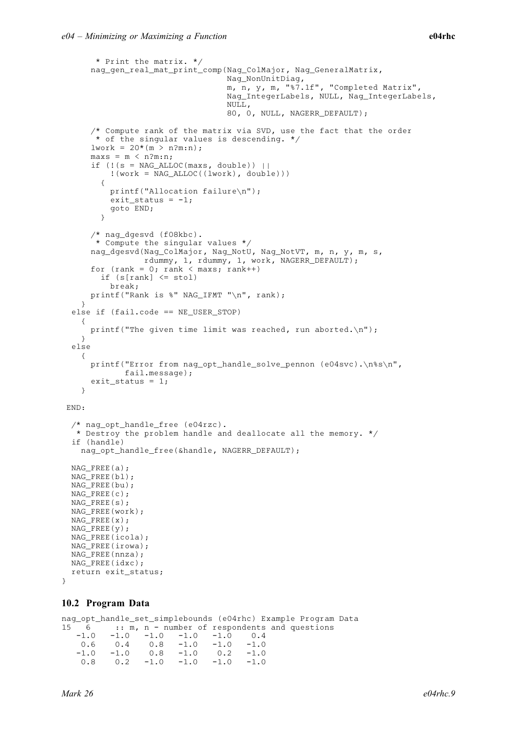```
* Print the matrix. */
     nag_gen_real_mat_print_comp(Nag_ColMajor, Nag_GeneralMatrix,
                                 Nag_NonUnitDiag,
                                  m, n, y, m, "%7.1f", "Completed Matrix",
                                 Nag_IntegerLabels, NULL, Nag_IntegerLabels,
                                 NULL,
                                 80, 0, NULL, NAGERR_DEFAULT);
     /* Compute rank of the matrix via SVD, use the fact that the order
      * of the singular values is descending. */lwork = 20*(m > n?m:n);max s = m < n?m:n;
     if (!(s = NAG\_ALLOC(maxs, double)) ||!(work = NAG_ALLOC((lwork), double)))
       {
         printf("Allocation failure\n");
         exit_status = -1;
         goto END;
       }
     /* nag_dgesvd (f08kbc).
      * Compute the singular values */
     nag_dgesvd(Nag_ColMajor, Nag_NotU, Nag_NotVT, m, n, y, m, s,
                rdummy, 1, rdummy, 1, work, NAGERR_DEFAULT);
     for (rank = 0; rank < maxs; rank++)
       if (s[rank] \leq stol)break;
     printf("Rank is %" NAG_IFMT "\n", rank);
   }
 else if (fail.code == NE_USER_STOP)
   {
    printf("The given time limit was reached, run aborted.\n");
   }
 else
   {
     printf("Error from nag_opt_handle_solve_pennon (e04svc).\n%s\n",
            fail.message);
     ext_{status} = 1;}
END:
 /* nag_opt_handle_free (e04rzc).
 * Destroy the problem handle and deallocate all the memory. */
 if (handle)
   nag_opt_handle_free(&handle, NAGERR_DEFAULT);
 NAG_FREE(a);
 NAG_FREE(bl);
 NAG_FREE(bu);
 NAG_FREE(c);
 NAG_FREE(s);
 NAG_FREE(work);
NAG_FREE(x);
 NAG_FREE(y);
 NAG_FREE(icola);
NAG_FREE(irowa);
NAG_FREE(nnza);
NAG_FREE(idxc);
 return exit_status;
```
#### 10.2 Program Data

nag\_opt\_handle\_set\_simplebounds (e04rhc) Example Program Data  $15 - 6 - \ldots - \ldots$  m, n - number of respondents and questions  $-1.0$   $-1.0$   $-1.0$   $-1.0$   $-1.0$   $-1.0$  0.4<br>0.6 0.4 0.8  $-1.0$   $-1.0$   $-1.0$ 0.6 0.4 0.8 -1.0 -1.0 -1.0 -1.0 -1.0 0.8 -1.0 0.2 -1.0 0.8 0.2 -1.0 -1.0 -1.0 -1.0

}